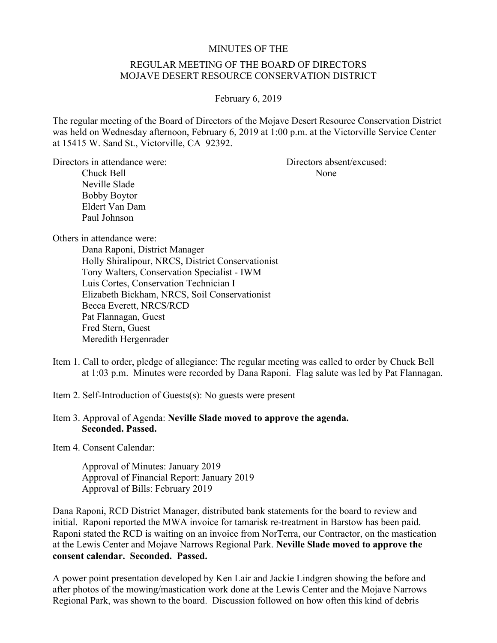## MINUTES OF THE

## REGULAR MEETING OF THE BOARD OF DIRECTORS MOJAVE DESERT RESOURCE CONSERVATION DISTRICT

February 6, 2019

The regular meeting of the Board of Directors of the Mojave Desert Resource Conservation District was held on Wednesday afternoon, February 6, 2019 at 1:00 p.m. at the Victorville Service Center at 15415 W. Sand St., Victorville, CA 92392.

Directors in attendance were: Directors absent/excused:

Chuck Bell None Neville Slade Bobby Boytor Eldert Van Dam Paul Johnson

Others in attendance were:

Dana Raponi, District Manager Holly Shiralipour, NRCS, District Conservationist Tony Walters, Conservation Specialist - IWM Luis Cortes, Conservation Technician I Elizabeth Bickham, NRCS, Soil Conservationist Becca Everett, NRCS/RCD Pat Flannagan, Guest Fred Stern, Guest Meredith Hergenrader

Item 1. Call to order, pledge of allegiance: The regular meeting was called to order by Chuck Bell at 1:03 p.m. Minutes were recorded by Dana Raponi. Flag salute was led by Pat Flannagan.

Item 2. Self-Introduction of Guests(s): No guests were present

Item 3. Approval of Agenda: **Neville Slade moved to approve the agenda. Seconded. Passed.** 

Item 4. Consent Calendar:

Approval of Minutes: January 2019 Approval of Financial Report: January 2019 Approval of Bills: February 2019

Dana Raponi, RCD District Manager, distributed bank statements for the board to review and initial. Raponi reported the MWA invoice for tamarisk re-treatment in Barstow has been paid. Raponi stated the RCD is waiting on an invoice from NorTerra, our Contractor, on the mastication at the Lewis Center and Mojave Narrows Regional Park. **Neville Slade moved to approve the consent calendar. Seconded. Passed.**

A power point presentation developed by Ken Lair and Jackie Lindgren showing the before and after photos of the mowing/mastication work done at the Lewis Center and the Mojave Narrows Regional Park, was shown to the board. Discussion followed on how often this kind of debris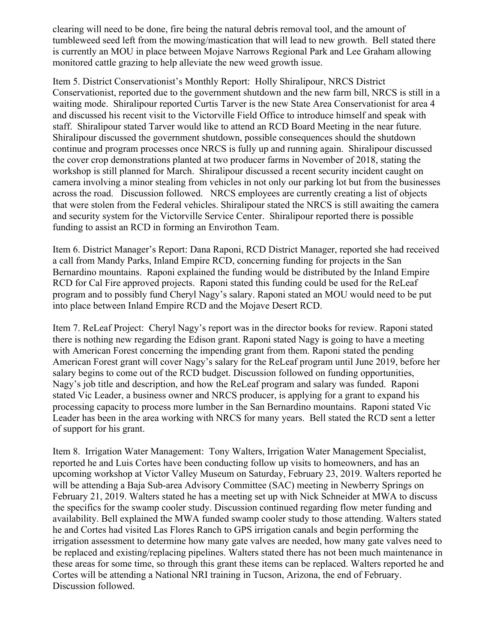clearing will need to be done, fire being the natural debris removal tool, and the amount of tumbleweed seed left from the mowing/mastication that will lead to new growth. Bell stated there is currently an MOU in place between Mojave Narrows Regional Park and Lee Graham allowing monitored cattle grazing to help alleviate the new weed growth issue.

Item 5. District Conservationist's Monthly Report: Holly Shiralipour, NRCS District Conservationist, reported due to the government shutdown and the new farm bill, NRCS is still in a waiting mode. Shiralipour reported Curtis Tarver is the new State Area Conservationist for area 4 and discussed his recent visit to the Victorville Field Office to introduce himself and speak with staff. Shiralipour stated Tarver would like to attend an RCD Board Meeting in the near future. Shiralipour discussed the government shutdown, possible consequences should the shutdown continue and program processes once NRCS is fully up and running again. Shiralipour discussed the cover crop demonstrations planted at two producer farms in November of 2018, stating the workshop is still planned for March. Shiralipour discussed a recent security incident caught on camera involving a minor stealing from vehicles in not only our parking lot but from the businesses across the road. Discussion followed. NRCS employees are currently creating a list of objects that were stolen from the Federal vehicles. Shiralipour stated the NRCS is still awaiting the camera and security system for the Victorville Service Center. Shiralipour reported there is possible funding to assist an RCD in forming an Envirothon Team.

Item 6. District Manager's Report: Dana Raponi, RCD District Manager, reported she had received a call from Mandy Parks, Inland Empire RCD, concerning funding for projects in the San Bernardino mountains. Raponi explained the funding would be distributed by the Inland Empire RCD for Cal Fire approved projects. Raponi stated this funding could be used for the ReLeaf program and to possibly fund Cheryl Nagy's salary. Raponi stated an MOU would need to be put into place between Inland Empire RCD and the Mojave Desert RCD.

Item 7. ReLeaf Project: Cheryl Nagy's report was in the director books for review. Raponi stated there is nothing new regarding the Edison grant. Raponi stated Nagy is going to have a meeting with American Forest concerning the impending grant from them. Raponi stated the pending American Forest grant will cover Nagy's salary for the ReLeaf program until June 2019, before her salary begins to come out of the RCD budget. Discussion followed on funding opportunities, Nagy's job title and description, and how the ReLeaf program and salary was funded. Raponi stated Vic Leader, a business owner and NRCS producer, is applying for a grant to expand his processing capacity to process more lumber in the San Bernardino mountains. Raponi stated Vic Leader has been in the area working with NRCS for many years. Bell stated the RCD sent a letter of support for his grant.

Item 8. Irrigation Water Management: Tony Walters, Irrigation Water Management Specialist, reported he and Luis Cortes have been conducting follow up visits to homeowners, and has an upcoming workshop at Victor Valley Museum on Saturday, February 23, 2019. Walters reported he will be attending a Baja Sub-area Advisory Committee (SAC) meeting in Newberry Springs on February 21, 2019. Walters stated he has a meeting set up with Nick Schneider at MWA to discuss the specifics for the swamp cooler study. Discussion continued regarding flow meter funding and availability. Bell explained the MWA funded swamp cooler study to those attending. Walters stated he and Cortes had visited Las Flores Ranch to GPS irrigation canals and begin performing the irrigation assessment to determine how many gate valves are needed, how many gate valves need to be replaced and existing/replacing pipelines. Walters stated there has not been much maintenance in these areas for some time, so through this grant these items can be replaced. Walters reported he and Cortes will be attending a National NRI training in Tucson, Arizona, the end of February. Discussion followed.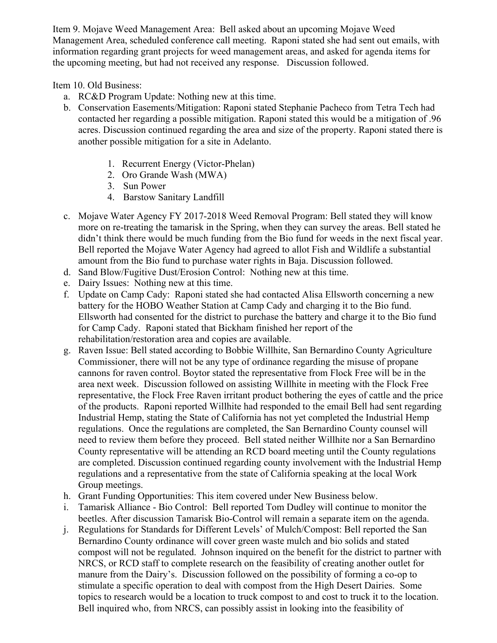Item 9. Mojave Weed Management Area: Bell asked about an upcoming Mojave Weed Management Area, scheduled conference call meeting. Raponi stated she had sent out emails, with information regarding grant projects for weed management areas, and asked for agenda items for the upcoming meeting, but had not received any response. Discussion followed.

Item 10. Old Business:

- a. RC&D Program Update: Nothing new at this time.
- b. Conservation Easements/Mitigation: Raponi stated Stephanie Pacheco from Tetra Tech had contacted her regarding a possible mitigation. Raponi stated this would be a mitigation of .96 acres. Discussion continued regarding the area and size of the property. Raponi stated there is another possible mitigation for a site in Adelanto.
	- 1. Recurrent Energy (Victor-Phelan)
	- 2. Oro Grande Wash (MWA)
	- 3. Sun Power
	- 4. Barstow Sanitary Landfill
- c. Mojave Water Agency FY 2017-2018 Weed Removal Program: Bell stated they will know more on re-treating the tamarisk in the Spring, when they can survey the areas. Bell stated he didn't think there would be much funding from the Bio fund for weeds in the next fiscal year. Bell reported the Mojave Water Agency had agreed to allot Fish and Wildlife a substantial amount from the Bio fund to purchase water rights in Baja. Discussion followed.
- d. Sand Blow/Fugitive Dust/Erosion Control: Nothing new at this time.
- e. Dairy Issues: Nothing new at this time.
- f. Update on Camp Cady: Raponi stated she had contacted Alisa Ellsworth concerning a new battery for the HOBO Weather Station at Camp Cady and charging it to the Bio fund. Ellsworth had consented for the district to purchase the battery and charge it to the Bio fund for Camp Cady. Raponi stated that Bickham finished her report of the rehabilitation/restoration area and copies are available.
- g. Raven Issue: Bell stated according to Bobbie Willhite, San Bernardino County Agriculture Commissioner, there will not be any type of ordinance regarding the misuse of propane cannons for raven control. Boytor stated the representative from Flock Free will be in the area next week. Discussion followed on assisting Willhite in meeting with the Flock Free representative, the Flock Free Raven irritant product bothering the eyes of cattle and the price of the products. Raponi reported Willhite had responded to the email Bell had sent regarding Industrial Hemp, stating the State of California has not yet completed the Industrial Hemp regulations. Once the regulations are completed, the San Bernardino County counsel will need to review them before they proceed. Bell stated neither Willhite nor a San Bernardino County representative will be attending an RCD board meeting until the County regulations are completed. Discussion continued regarding county involvement with the Industrial Hemp regulations and a representative from the state of California speaking at the local Work Group meetings.
- h. Grant Funding Opportunities: This item covered under New Business below.
- i. Tamarisk Alliance Bio Control: Bell reported Tom Dudley will continue to monitor the beetles. After discussion Tamarisk Bio-Control will remain a separate item on the agenda.
- j. Regulations for Standards for Different Levels' of Mulch/Compost: Bell reported the San Bernardino County ordinance will cover green waste mulch and bio solids and stated compost will not be regulated. Johnson inquired on the benefit for the district to partner with NRCS, or RCD staff to complete research on the feasibility of creating another outlet for manure from the Dairy's. Discussion followed on the possibility of forming a co-op to stimulate a specific operation to deal with compost from the High Desert Dairies. Some topics to research would be a location to truck compost to and cost to truck it to the location. Bell inquired who, from NRCS, can possibly assist in looking into the feasibility of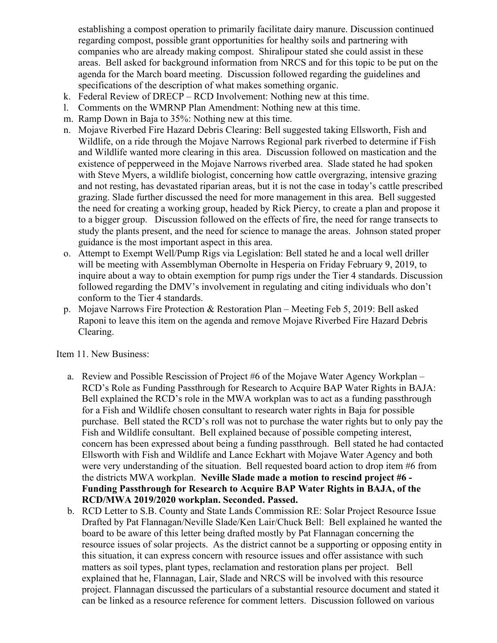establishing a compost operation to primarily facilitate dairy manure. Discussion continued regarding compost, possible grant opportunities for healthy soils and partnering with companies who are already making compost. Shiralipour stated she could assist in these areas. Bell asked for background information from NRCS and for this topic to be put on the agenda for the March board meeting. Discussion followed regarding the guidelines and specifications of the description of what makes something organic.

- k. Federal Review of DRECP RCD Involvement: Nothing new at this time.
- l. Comments on the WMRNP Plan Amendment: Nothing new at this time.
- m. Ramp Down in Baja to 35%: Nothing new at this time.
- n. Mojave Riverbed Fire Hazard Debris Clearing: Bell suggested taking Ellsworth, Fish and Wildlife, on a ride through the Mojave Narrows Regional park riverbed to determine if Fish and Wildlife wanted more clearing in this area. Discussion followed on mastication and the existence of pepperweed in the Mojave Narrows riverbed area. Slade stated he had spoken with Steve Myers, a wildlife biologist, concerning how cattle overgrazing, intensive grazing and not resting, has devastated riparian areas, but it is not the case in today's cattle prescribed grazing. Slade further discussed the need for more management in this area. Bell suggested the need for creating a working group, headed by Rick Piercy, to create a plan and propose it to a bigger group. Discussion followed on the effects of fire, the need for range transects to study the plants present, and the need for science to manage the areas. Johnson stated proper guidance is the most important aspect in this area.
- o. Attempt to Exempt Well/Pump Rigs via Legislation: Bell stated he and a local well driller will be meeting with Assemblyman Obernolte in Hesperia on Friday February 9, 2019, to inquire about a way to obtain exemption for pump rigs under the Tier 4 standards. Discussion followed regarding the DMV's involvement in regulating and citing individuals who don't conform to the Tier 4 standards.
- p. Mojave Narrows Fire Protection & Restoration Plan Meeting Feb 5, 2019: Bell asked Raponi to leave this item on the agenda and remove Mojave Riverbed Fire Hazard Debris Clearing.

Item 11. New Business:

- a. Review and Possible Rescission of Project #6 of the Mojave Water Agency Workplan RCD's Role as Funding Passthrough for Research to Acquire BAP Water Rights in BAJA: Bell explained the RCD's role in the MWA workplan was to act as a funding passthrough for a Fish and Wildlife chosen consultant to research water rights in Baja for possible purchase. Bell stated the RCD's roll was not to purchase the water rights but to only pay the Fish and Wildlife consultant. Bell explained because of possible competing interest, concern has been expressed about being a funding passthrough. Bell stated he had contacted Ellsworth with Fish and Wildlife and Lance Eckhart with Mojave Water Agency and both were very understanding of the situation. Bell requested board action to drop item #6 from the districts MWA workplan. **Neville Slade made a motion to rescind project #6 - Funding Passthrough for Research to Acquire BAP Water Rights in BAJA, of the RCD/MWA 2019/2020 workplan. Seconded. Passed.**
- b. RCD Letter to S.B. County and State Lands Commission RE: Solar Project Resource Issue Drafted by Pat Flannagan/Neville Slade/Ken Lair/Chuck Bell: Bell explained he wanted the board to be aware of this letter being drafted mostly by Pat Flannagan concerning the resource issues of solar projects. As the district cannot be a supporting or opposing entity in this situation, it can express concern with resource issues and offer assistance with such matters as soil types, plant types, reclamation and restoration plans per project. Bell explained that he, Flannagan, Lair, Slade and NRCS will be involved with this resource project. Flannagan discussed the particulars of a substantial resource document and stated it can be linked as a resource reference for comment letters. Discussion followed on various